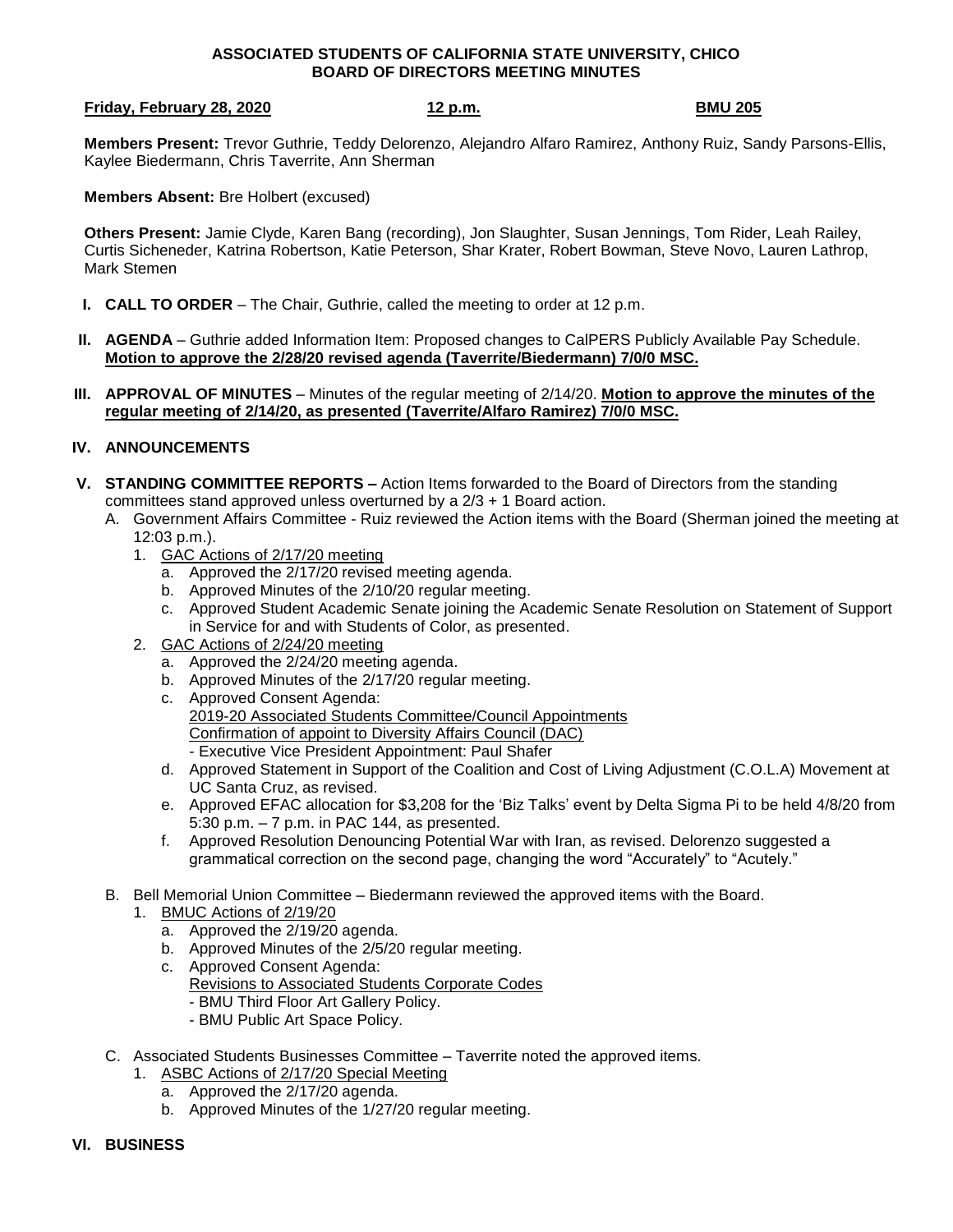## **ASSOCIATED STUDENTS OF CALIFORNIA STATE UNIVERSITY, CHICO BOARD OF DIRECTORS MEETING MINUTES**

### **Friday, February 28, 2020 12 p.m. BMU 205**

**Members Present:** Trevor Guthrie, Teddy Delorenzo, Alejandro Alfaro Ramirez, Anthony Ruiz, Sandy Parsons-Ellis, Kaylee Biedermann, Chris Taverrite, Ann Sherman

**Members Absent:** Bre Holbert (excused)

**Others Present:** Jamie Clyde, Karen Bang (recording), Jon Slaughter, Susan Jennings, Tom Rider, Leah Railey, Curtis Sicheneder, Katrina Robertson, Katie Peterson, Shar Krater, Robert Bowman, Steve Novo, Lauren Lathrop, Mark Stemen

- **I. CALL TO ORDER** The Chair, Guthrie, called the meeting to order at 12 p.m.
- **II. AGENDA** Guthrie added Information Item: Proposed changes to CalPERS Publicly Available Pay Schedule. **Motion to approve the 2/28/20 revised agenda (Taverrite/Biedermann) 7/0/0 MSC.**
- **III. APPROVAL OF MINUTES** Minutes of the regular meeting of 2/14/20. **Motion to approve the minutes of the regular meeting of 2/14/20, as presented (Taverrite/Alfaro Ramirez) 7/0/0 MSC.**

# **IV. ANNOUNCEMENTS**

- **V. STANDING COMMITTEE REPORTS –** Action Items forwarded to the Board of Directors from the standing committees stand approved unless overturned by a  $2/3 + 1$  Board action.
	- A. Government Affairs Committee Ruiz reviewed the Action items with the Board (Sherman joined the meeting at 12:03 p.m.).
		- 1. GAC Actions of 2/17/20 meeting
			- a. Approved the 2/17/20 revised meeting agenda.
			- b. Approved Minutes of the 2/10/20 regular meeting.
			- c. Approved Student Academic Senate joining the Academic Senate Resolution on Statement of Support in Service for and with Students of Color, as presented.
		- 2. GAC Actions of 2/24/20 meeting
			- a. Approved the 2/24/20 meeting agenda.
			- b. Approved Minutes of the 2/17/20 regular meeting.
			- c. Approved Consent Agenda: 2019-20 Associated Students Committee/Council Appointments Confirmation of appoint to Diversity Affairs Council (DAC) - Executive Vice President Appointment: Paul Shafer
			- d. Approved Statement in Support of the Coalition and Cost of Living Adjustment (C.O.L.A) Movement at UC Santa Cruz, as revised.
			- e. Approved EFAC allocation for \$3,208 for the 'Biz Talks' event by Delta Sigma Pi to be held 4/8/20 from 5:30 p.m. – 7 p.m. in PAC 144, as presented.
			- f. Approved Resolution Denouncing Potential War with Iran, as revised. Delorenzo suggested a grammatical correction on the second page, changing the word "Accurately" to "Acutely."
	- B. Bell Memorial Union Committee Biedermann reviewed the approved items with the Board.
		- 1. BMUC Actions of 2/19/20
			- a. Approved the 2/19/20 agenda.
			- b. Approved Minutes of the 2/5/20 regular meeting.
			- c. Approved Consent Agenda:
				- Revisions to Associated Students Corporate Codes
					- BMU Third Floor Art Gallery Policy.
					- BMU Public Art Space Policy.
	- C. Associated Students Businesses Committee Taverrite noted the approved items.
		- 1. ASBC Actions of 2/17/20 Special Meeting
			- a. Approved the 2/17/20 agenda.
			- b. Approved Minutes of the 1/27/20 regular meeting.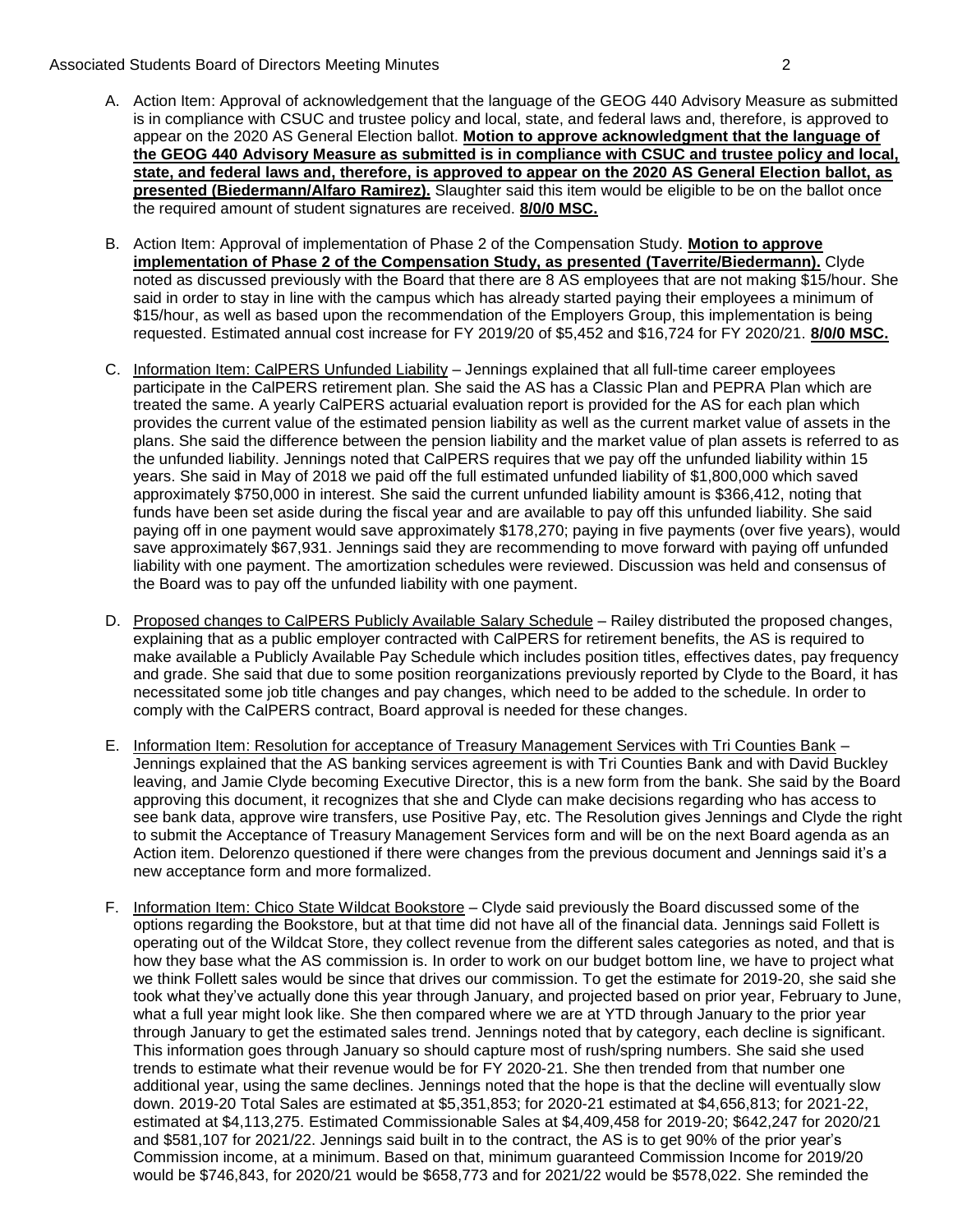### Associated Students Board of Directors Meeting Minutes 2

- A. Action Item: Approval of acknowledgement that the language of the GEOG 440 Advisory Measure as submitted is in compliance with CSUC and trustee policy and local, state, and federal laws and, therefore, is approved to appear on the 2020 AS General Election ballot. **Motion to approve acknowledgment that the language of the GEOG 440 Advisory Measure as submitted is in compliance with CSUC and trustee policy and local, state, and federal laws and, therefore, is approved to appear on the 2020 AS General Election ballot, as presented (Biedermann/Alfaro Ramirez).** Slaughter said this item would be eligible to be on the ballot once the required amount of student signatures are received. **8/0/0 MSC.**
- B. Action Item: Approval of implementation of Phase 2 of the Compensation Study. **Motion to approve implementation of Phase 2 of the Compensation Study, as presented (Taverrite/Biedermann).** Clyde noted as discussed previously with the Board that there are 8 AS employees that are not making \$15/hour. She said in order to stay in line with the campus which has already started paying their employees a minimum of \$15/hour, as well as based upon the recommendation of the Employers Group, this implementation is being requested. Estimated annual cost increase for FY 2019/20 of \$5,452 and \$16,724 for FY 2020/21. **8/0/0 MSC.**
- C. Information Item: CalPERS Unfunded Liability Jennings explained that all full-time career employees participate in the CalPERS retirement plan. She said the AS has a Classic Plan and PEPRA Plan which are treated the same. A yearly CalPERS actuarial evaluation report is provided for the AS for each plan which provides the current value of the estimated pension liability as well as the current market value of assets in the plans. She said the difference between the pension liability and the market value of plan assets is referred to as the unfunded liability. Jennings noted that CalPERS requires that we pay off the unfunded liability within 15 years. She said in May of 2018 we paid off the full estimated unfunded liability of \$1,800,000 which saved approximately \$750,000 in interest. She said the current unfunded liability amount is \$366,412, noting that funds have been set aside during the fiscal year and are available to pay off this unfunded liability. She said paying off in one payment would save approximately \$178,270; paying in five payments (over five years), would save approximately \$67,931. Jennings said they are recommending to move forward with paying off unfunded liability with one payment. The amortization schedules were reviewed. Discussion was held and consensus of the Board was to pay off the unfunded liability with one payment.
- D. Proposed changes to CalPERS Publicly Available Salary Schedule Railey distributed the proposed changes, explaining that as a public employer contracted with CalPERS for retirement benefits, the AS is required to make available a Publicly Available Pay Schedule which includes position titles, effectives dates, pay frequency and grade. She said that due to some position reorganizations previously reported by Clyde to the Board, it has necessitated some job title changes and pay changes, which need to be added to the schedule. In order to comply with the CalPERS contract, Board approval is needed for these changes.
- E. Information Item: Resolution for acceptance of Treasury Management Services with Tri Counties Bank Jennings explained that the AS banking services agreement is with Tri Counties Bank and with David Buckley leaving, and Jamie Clyde becoming Executive Director, this is a new form from the bank. She said by the Board approving this document, it recognizes that she and Clyde can make decisions regarding who has access to see bank data, approve wire transfers, use Positive Pay, etc. The Resolution gives Jennings and Clyde the right to submit the Acceptance of Treasury Management Services form and will be on the next Board agenda as an Action item. Delorenzo questioned if there were changes from the previous document and Jennings said it's a new acceptance form and more formalized.
- F. Information Item: Chico State Wildcat Bookstore Clyde said previously the Board discussed some of the options regarding the Bookstore, but at that time did not have all of the financial data. Jennings said Follett is operating out of the Wildcat Store, they collect revenue from the different sales categories as noted, and that is how they base what the AS commission is. In order to work on our budget bottom line, we have to project what we think Follett sales would be since that drives our commission. To get the estimate for 2019-20, she said she took what they've actually done this year through January, and projected based on prior year, February to June, what a full year might look like. She then compared where we are at YTD through January to the prior year through January to get the estimated sales trend. Jennings noted that by category, each decline is significant. This information goes through January so should capture most of rush/spring numbers. She said she used trends to estimate what their revenue would be for FY 2020-21. She then trended from that number one additional year, using the same declines. Jennings noted that the hope is that the decline will eventually slow down. 2019-20 Total Sales are estimated at \$5,351,853; for 2020-21 estimated at \$4,656,813; for 2021-22, estimated at \$4,113,275. Estimated Commissionable Sales at \$4,409,458 for 2019-20; \$642,247 for 2020/21 and \$581,107 for 2021/22. Jennings said built in to the contract, the AS is to get 90% of the prior year's Commission income, at a minimum. Based on that, minimum guaranteed Commission Income for 2019/20 would be \$746,843, for 2020/21 would be \$658,773 and for 2021/22 would be \$578,022. She reminded the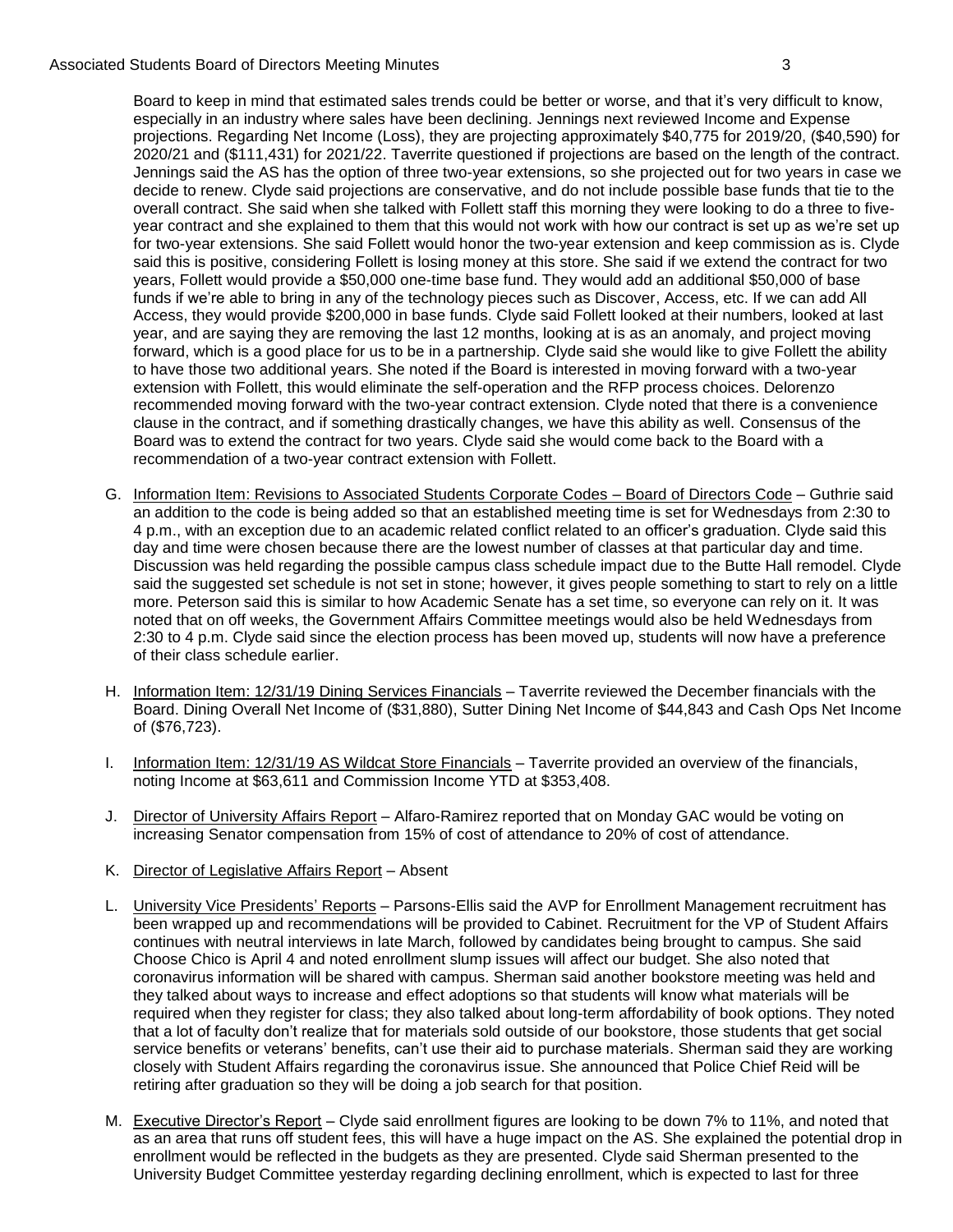### Associated Students Board of Directors Meeting Minutes 3

Board to keep in mind that estimated sales trends could be better or worse, and that it's very difficult to know, especially in an industry where sales have been declining. Jennings next reviewed Income and Expense projections. Regarding Net Income (Loss), they are projecting approximately \$40,775 for 2019/20, (\$40,590) for 2020/21 and (\$111,431) for 2021/22. Taverrite questioned if projections are based on the length of the contract. Jennings said the AS has the option of three two-year extensions, so she projected out for two years in case we decide to renew. Clyde said projections are conservative, and do not include possible base funds that tie to the overall contract. She said when she talked with Follett staff this morning they were looking to do a three to fiveyear contract and she explained to them that this would not work with how our contract is set up as we're set up for two-year extensions. She said Follett would honor the two-year extension and keep commission as is. Clyde said this is positive, considering Follett is losing money at this store. She said if we extend the contract for two years, Follett would provide a \$50,000 one-time base fund. They would add an additional \$50,000 of base funds if we're able to bring in any of the technology pieces such as Discover, Access, etc. If we can add All Access, they would provide \$200,000 in base funds. Clyde said Follett looked at their numbers, looked at last year, and are saying they are removing the last 12 months, looking at is as an anomaly, and project moving forward, which is a good place for us to be in a partnership. Clyde said she would like to give Follett the ability to have those two additional years. She noted if the Board is interested in moving forward with a two-year extension with Follett, this would eliminate the self-operation and the RFP process choices. Delorenzo recommended moving forward with the two-year contract extension. Clyde noted that there is a convenience clause in the contract, and if something drastically changes, we have this ability as well. Consensus of the Board was to extend the contract for two years. Clyde said she would come back to the Board with a recommendation of a two-year contract extension with Follett.

- G. Information Item: Revisions to Associated Students Corporate Codes Board of Directors Code Guthrie said an addition to the code is being added so that an established meeting time is set for Wednesdays from 2:30 to 4 p.m., with an exception due to an academic related conflict related to an officer's graduation. Clyde said this day and time were chosen because there are the lowest number of classes at that particular day and time. Discussion was held regarding the possible campus class schedule impact due to the Butte Hall remodel. Clyde said the suggested set schedule is not set in stone; however, it gives people something to start to rely on a little more. Peterson said this is similar to how Academic Senate has a set time, so everyone can rely on it. It was noted that on off weeks, the Government Affairs Committee meetings would also be held Wednesdays from 2:30 to 4 p.m. Clyde said since the election process has been moved up, students will now have a preference of their class schedule earlier.
- H. Information Item: 12/31/19 Dining Services Financials Taverrite reviewed the December financials with the Board. Dining Overall Net Income of (\$31,880), Sutter Dining Net Income of \$44,843 and Cash Ops Net Income of (\$76,723).
- I. Information Item: 12/31/19 AS Wildcat Store Financials Taverrite provided an overview of the financials, noting Income at \$63,611 and Commission Income YTD at \$353,408.
- J. Director of University Affairs Report Alfaro-Ramirez reported that on Monday GAC would be voting on increasing Senator compensation from 15% of cost of attendance to 20% of cost of attendance.
- K. Director of Legislative Affairs Report Absent
- L. **University Vice Presidents' Reports** Parsons-Ellis said the AVP for Enrollment Management recruitment has been wrapped up and recommendations will be provided to Cabinet. Recruitment for the VP of Student Affairs continues with neutral interviews in late March, followed by candidates being brought to campus. She said Choose Chico is April 4 and noted enrollment slump issues will affect our budget. She also noted that coronavirus information will be shared with campus. Sherman said another bookstore meeting was held and they talked about ways to increase and effect adoptions so that students will know what materials will be required when they register for class; they also talked about long-term affordability of book options. They noted that a lot of faculty don't realize that for materials sold outside of our bookstore, those students that get social service benefits or veterans' benefits, can't use their aid to purchase materials. Sherman said they are working closely with Student Affairs regarding the coronavirus issue. She announced that Police Chief Reid will be retiring after graduation so they will be doing a job search for that position.
- M. Executive Director's Report Clyde said enrollment figures are looking to be down 7% to 11%, and noted that as an area that runs off student fees, this will have a huge impact on the AS. She explained the potential drop in enrollment would be reflected in the budgets as they are presented. Clyde said Sherman presented to the University Budget Committee yesterday regarding declining enrollment, which is expected to last for three